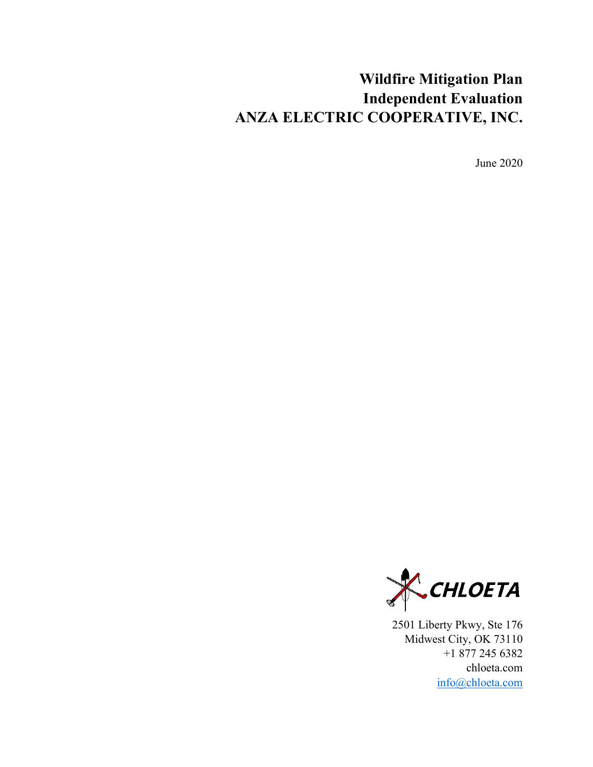# **Wildfire Mitigation Plan Independent Evaluation ANZA ELECTRIC COOPERATIVE, INC.**

June 2020



2501 Liberty Pkwy, Ste 176 Midwest City, OK 73110 +1 877 245 6382 chloeta.com [info@chloeta.com](mailto:info@chloeta.com)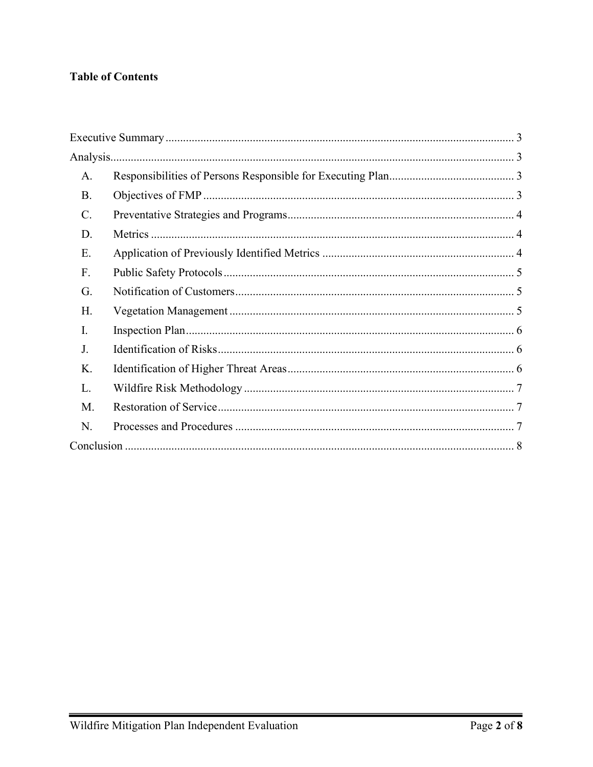## **Table of Contents**

| A.              |  |  |
|-----------------|--|--|
| <b>B.</b>       |  |  |
| $\mathcal{C}$ . |  |  |
| D.              |  |  |
| Ε.              |  |  |
| F.              |  |  |
| G.              |  |  |
| Η.              |  |  |
| I.              |  |  |
| J.              |  |  |
| Κ.              |  |  |
| L.              |  |  |
| M.              |  |  |
| N.              |  |  |
|                 |  |  |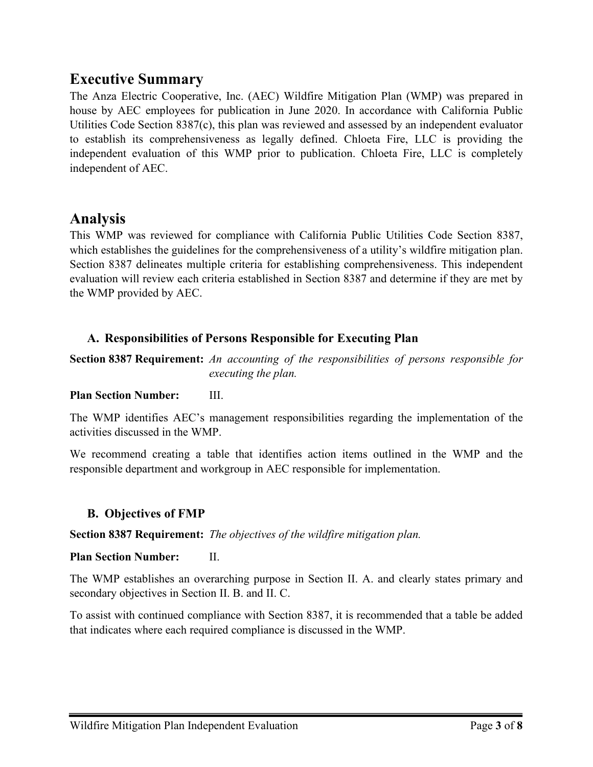## <span id="page-2-0"></span>**Executive Summary**

The Anza Electric Cooperative, Inc. (AEC) Wildfire Mitigation Plan (WMP) was prepared in house by AEC employees for publication in June 2020. In accordance with California Public Utilities Code Section 8387(c), this plan was reviewed and assessed by an independent evaluator to establish its comprehensiveness as legally defined. Chloeta Fire, LLC is providing the independent evaluation of this WMP prior to publication. Chloeta Fire, LLC is completely independent of AEC.

## <span id="page-2-1"></span>**Analysis**

This WMP was reviewed for compliance with California Public Utilities Code Section 8387, which establishes the guidelines for the comprehensiveness of a utility's wildfire mitigation plan. Section 8387 delineates multiple criteria for establishing comprehensiveness. This independent evaluation will review each criteria established in Section 8387 and determine if they are met by the WMP provided by AEC.

## <span id="page-2-2"></span>**A. Responsibilities of Persons Responsible for Executing Plan**

**Section 8387 Requirement:** *An accounting of the responsibilities of persons responsible for executing the plan.*

#### **Plan Section Number:** III.

The WMP identifies AEC's management responsibilities regarding the implementation of the activities discussed in the WMP.

We recommend creating a table that identifies action items outlined in the WMP and the responsible department and workgroup in AEC responsible for implementation.

## <span id="page-2-3"></span>**B. Objectives of FMP**

#### **Section 8387 Requirement:** *The objectives of the wildfire mitigation plan.*

#### **Plan Section Number:** II.

The WMP establishes an overarching purpose in Section II. A. and clearly states primary and secondary objectives in Section II. B. and II. C.

To assist with continued compliance with Section 8387, it is recommended that a table be added that indicates where each required compliance is discussed in the WMP.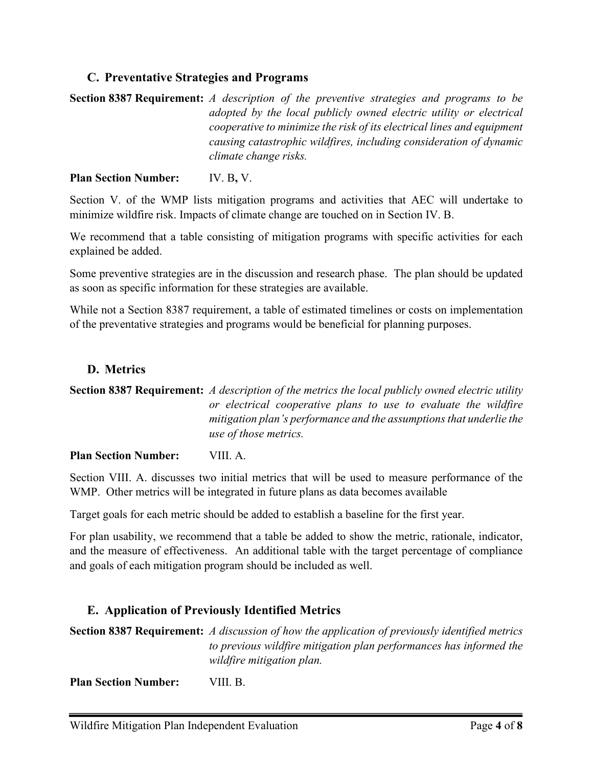## <span id="page-3-0"></span>**C. Preventative Strategies and Programs**

**Section 8387 Requirement:** *A description of the preventive strategies and programs to be adopted by the local publicly owned electric utility or electrical cooperative to minimize the risk of its electrical lines and equipment causing catastrophic wildfires, including consideration of dynamic climate change risks.*

#### **Plan Section Number:** IV. B**,** V.

Section V. of the WMP lists mitigation programs and activities that AEC will undertake to minimize wildfire risk. Impacts of climate change are touched on in Section IV. B.

We recommend that a table consisting of mitigation programs with specific activities for each explained be added.

Some preventive strategies are in the discussion and research phase. The plan should be updated as soon as specific information for these strategies are available.

While not a Section 8387 requirement, a table of estimated timelines or costs on implementation of the preventative strategies and programs would be beneficial for planning purposes.

## <span id="page-3-1"></span>**D. Metrics**

**Section 8387 Requirement:** *A description of the metrics the local publicly owned electric utility or electrical cooperative plans to use to evaluate the wildfire mitigation plan's performance and the assumptions that underlie the use of those metrics.*

**Plan Section Number:** VIII. A.

Section VIII. A. discusses two initial metrics that will be used to measure performance of the WMP. Other metrics will be integrated in future plans as data becomes available

Target goals for each metric should be added to establish a baseline for the first year.

For plan usability, we recommend that a table be added to show the metric, rationale, indicator, and the measure of effectiveness. An additional table with the target percentage of compliance and goals of each mitigation program should be included as well.

## <span id="page-3-2"></span>**E. Application of Previously Identified Metrics**

**Section 8387 Requirement:** *A discussion of how the application of previously identified metrics to previous wildfire mitigation plan performances has informed the wildfire mitigation plan.*

**Plan Section Number:** VIII. B.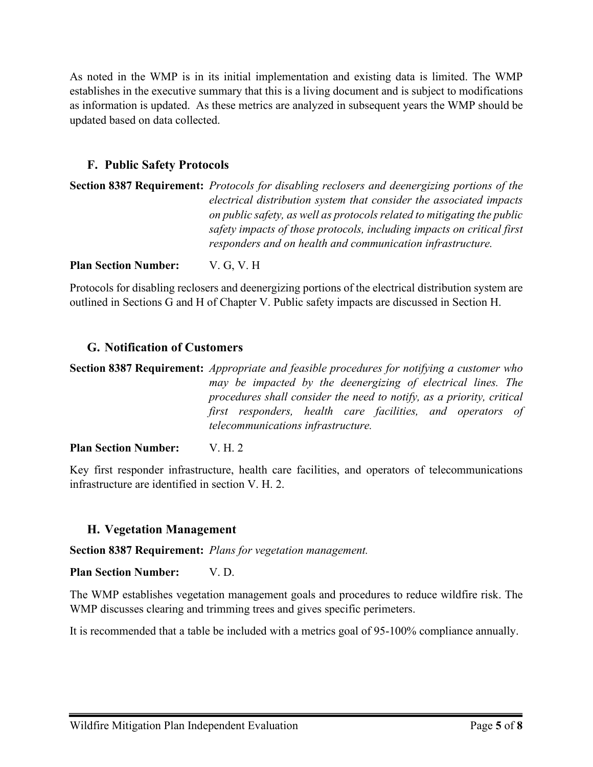As noted in the WMP is in its initial implementation and existing data is limited. The WMP establishes in the executive summary that this is a living document and is subject to modifications as information is updated. As these metrics are analyzed in subsequent years the WMP should be updated based on data collected.

## <span id="page-4-0"></span>**F. Public Safety Protocols**

| <b>Section 8387 Requirement:</b> Protocols for disabling reclosers and deenergizing portions of the |
|-----------------------------------------------------------------------------------------------------|
| electrical distribution system that consider the associated impacts                                 |
| on public safety, as well as protocols related to mitigating the public                             |
| safety impacts of those protocols, including impacts on critical first                              |
| responders and on health and communication infrastructure.                                          |
|                                                                                                     |

**Plan Section Number:** V. G, V. H

Protocols for disabling reclosers and deenergizing portions of the electrical distribution system are outlined in Sections G and H of Chapter V. Public safety impacts are discussed in Section H.

### <span id="page-4-1"></span>**G. Notification of Customers**

**Section 8387 Requirement:** *Appropriate and feasible procedures for notifying a customer who may be impacted by the deenergizing of electrical lines. The procedures shall consider the need to notify, as a priority, critical first responders, health care facilities, and operators of telecommunications infrastructure.*

#### **Plan Section Number:** V. H. 2

Key first responder infrastructure, health care facilities, and operators of telecommunications infrastructure are identified in section V. H. 2.

#### <span id="page-4-2"></span>**H. Vegetation Management**

**Section 8387 Requirement:** *Plans for vegetation management.*

**Plan Section Number:** V. D.

The WMP establishes vegetation management goals and procedures to reduce wildfire risk. The WMP discusses clearing and trimming trees and gives specific perimeters.

It is recommended that a table be included with a metrics goal of 95-100% compliance annually.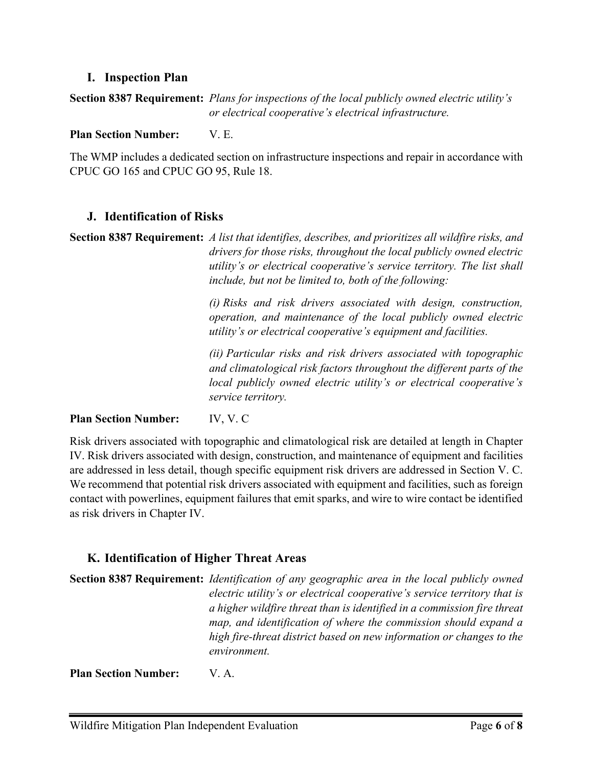#### <span id="page-5-0"></span>**I. Inspection Plan**

### **Section 8387 Requirement:** *Plans for inspections of the local publicly owned electric utility's or electrical cooperative's electrical infrastructure.*

**Plan Section Number:** V. E.

The WMP includes a dedicated section on infrastructure inspections and repair in accordance with CPUC GO 165 and CPUC GO 95, Rule 18.

### <span id="page-5-1"></span>**J. Identification of Risks**

**Section 8387 Requirement:** *A list that identifies, describes, and prioritizes all wildfire risks, and drivers for those risks, throughout the local publicly owned electric utility's or electrical cooperative's service territory. The list shall include, but not be limited to, both of the following:*

> *(i) Risks and risk drivers associated with design, construction, operation, and maintenance of the local publicly owned electric utility's or electrical cooperative's equipment and facilities.*

> *(ii) Particular risks and risk drivers associated with topographic and climatological risk factors throughout the different parts of the local publicly owned electric utility's or electrical cooperative's service territory.*

#### **Plan Section Number:** IV, V. C

Risk drivers associated with topographic and climatological risk are detailed at length in Chapter IV. Risk drivers associated with design, construction, and maintenance of equipment and facilities are addressed in less detail, though specific equipment risk drivers are addressed in Section V. C. We recommend that potential risk drivers associated with equipment and facilities, such as foreign contact with powerlines, equipment failures that emit sparks, and wire to wire contact be identified as risk drivers in Chapter IV.

## <span id="page-5-2"></span>**K. Identification of Higher Threat Areas**

**Section 8387 Requirement:** *Identification of any geographic area in the local publicly owned electric utility's or electrical cooperative's service territory that is a higher wildfire threat than is identified in a commission fire threat map, and identification of where the commission should expand a high fire-threat district based on new information or changes to the environment.*

**Plan Section Number:** V. A.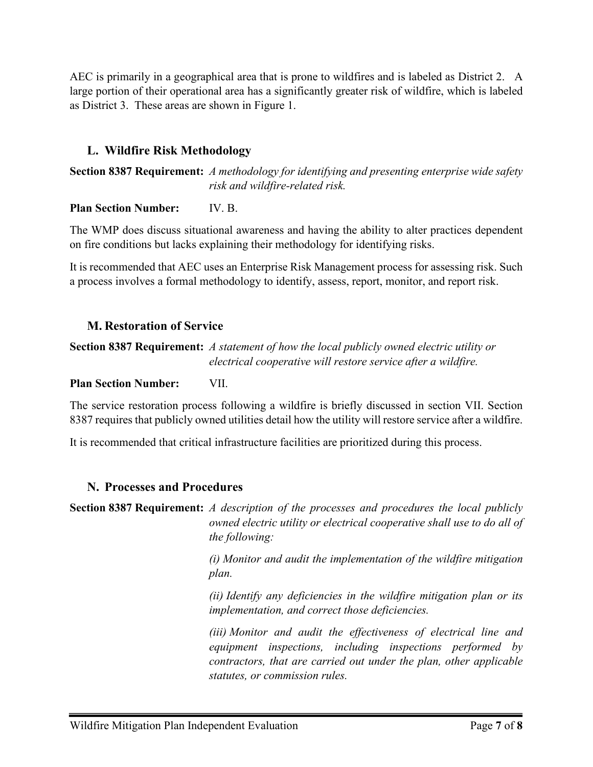AEC is primarily in a geographical area that is prone to wildfires and is labeled as District 2. A large portion of their operational area has a significantly greater risk of wildfire, which is labeled as District 3. These areas are shown in Figure 1.

## <span id="page-6-0"></span>**L. Wildfire Risk Methodology**

**Section 8387 Requirement:** *A methodology for identifying and presenting enterprise wide safety risk and wildfire-related risk.*

### **Plan Section Number:** IV. B.

The WMP does discuss situational awareness and having the ability to alter practices dependent on fire conditions but lacks explaining their methodology for identifying risks.

It is recommended that AEC uses an Enterprise Risk Management process for assessing risk. Such a process involves a formal methodology to identify, assess, report, monitor, and report risk.

## <span id="page-6-1"></span>**M. Restoration of Service**

**Section 8387 Requirement:** *A statement of how the local publicly owned electric utility or electrical cooperative will restore service after a wildfire.*

#### **Plan Section Number:** VII.

The service restoration process following a wildfire is briefly discussed in section VII. Section 8387 requires that publicly owned utilities detail how the utility will restore service after a wildfire.

It is recommended that critical infrastructure facilities are prioritized during this process.

## <span id="page-6-2"></span>**N. Processes and Procedures**

**Section 8387 Requirement:** *A description of the processes and procedures the local publicly owned electric utility or electrical cooperative shall use to do all of the following:*

> *(i) Monitor and audit the implementation of the wildfire mitigation plan.*

> *(ii) Identify any deficiencies in the wildfire mitigation plan or its implementation, and correct those deficiencies.*

> *(iii) Monitor and audit the effectiveness of electrical line and equipment inspections, including inspections performed by contractors, that are carried out under the plan, other applicable statutes, or commission rules.*